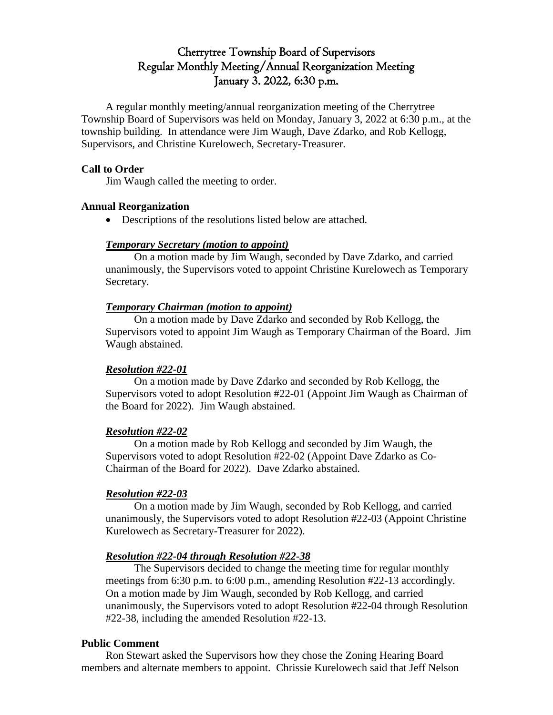# Cherrytree Township Board of Supervisors Regular Monthly Meeting/Annual Reorganization Meeting January 3. 2022, 6:30 p.m.

A regular monthly meeting/annual reorganization meeting of the Cherrytree Township Board of Supervisors was held on Monday, January 3, 2022 at 6:30 p.m., at the township building. In attendance were Jim Waugh, Dave Zdarko, and Rob Kellogg, Supervisors, and Christine Kurelowech, Secretary-Treasurer.

### **Call to Order**

Jim Waugh called the meeting to order.

### **Annual Reorganization**

Descriptions of the resolutions listed below are attached.

## *Temporary Secretary (motion to appoint)*

On a motion made by Jim Waugh, seconded by Dave Zdarko, and carried unanimously, the Supervisors voted to appoint Christine Kurelowech as Temporary Secretary.

## *Temporary Chairman (motion to appoint)*

On a motion made by Dave Zdarko and seconded by Rob Kellogg, the Supervisors voted to appoint Jim Waugh as Temporary Chairman of the Board. Jim Waugh abstained.

# *Resolution #22-01*

On a motion made by Dave Zdarko and seconded by Rob Kellogg, the Supervisors voted to adopt Resolution #22-01 (Appoint Jim Waugh as Chairman of the Board for 2022). Jim Waugh abstained.

### *Resolution #22-02*

On a motion made by Rob Kellogg and seconded by Jim Waugh, the Supervisors voted to adopt Resolution #22-02 (Appoint Dave Zdarko as Co-Chairman of the Board for 2022). Dave Zdarko abstained.

# *Resolution #22-03*

On a motion made by Jim Waugh, seconded by Rob Kellogg, and carried unanimously, the Supervisors voted to adopt Resolution #22-03 (Appoint Christine Kurelowech as Secretary-Treasurer for 2022).

### *Resolution #22-04 through Resolution #22-38*

The Supervisors decided to change the meeting time for regular monthly meetings from 6:30 p.m. to 6:00 p.m., amending Resolution #22-13 accordingly. On a motion made by Jim Waugh, seconded by Rob Kellogg, and carried unanimously, the Supervisors voted to adopt Resolution #22-04 through Resolution #22-38, including the amended Resolution #22-13.

### **Public Comment**

Ron Stewart asked the Supervisors how they chose the Zoning Hearing Board members and alternate members to appoint. Chrissie Kurelowech said that Jeff Nelson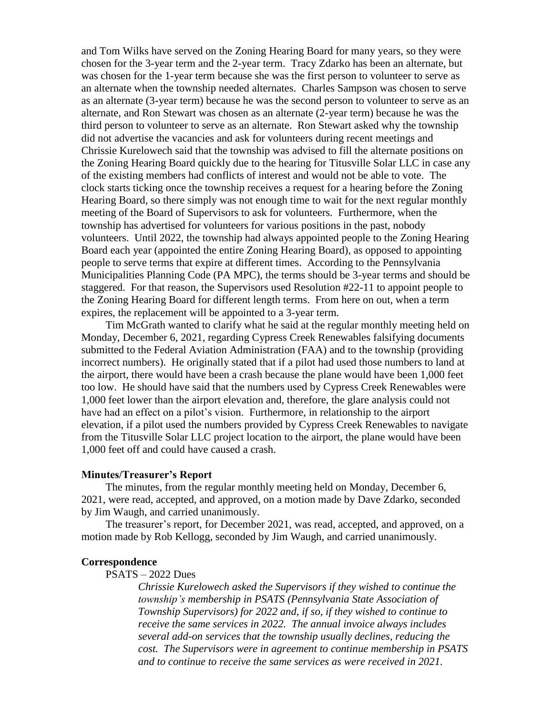and Tom Wilks have served on the Zoning Hearing Board for many years, so they were chosen for the 3-year term and the 2-year term. Tracy Zdarko has been an alternate, but was chosen for the 1-year term because she was the first person to volunteer to serve as an alternate when the township needed alternates. Charles Sampson was chosen to serve as an alternate (3-year term) because he was the second person to volunteer to serve as an alternate, and Ron Stewart was chosen as an alternate (2-year term) because he was the third person to volunteer to serve as an alternate. Ron Stewart asked why the township did not advertise the vacancies and ask for volunteers during recent meetings and Chrissie Kurelowech said that the township was advised to fill the alternate positions on the Zoning Hearing Board quickly due to the hearing for Titusville Solar LLC in case any of the existing members had conflicts of interest and would not be able to vote. The clock starts ticking once the township receives a request for a hearing before the Zoning Hearing Board, so there simply was not enough time to wait for the next regular monthly meeting of the Board of Supervisors to ask for volunteers. Furthermore, when the township has advertised for volunteers for various positions in the past, nobody volunteers. Until 2022, the township had always appointed people to the Zoning Hearing Board each year (appointed the entire Zoning Hearing Board), as opposed to appointing people to serve terms that expire at different times. According to the Pennsylvania Municipalities Planning Code (PA MPC), the terms should be 3-year terms and should be staggered. For that reason, the Supervisors used Resolution #22-11 to appoint people to the Zoning Hearing Board for different length terms. From here on out, when a term expires, the replacement will be appointed to a 3-year term.

Tim McGrath wanted to clarify what he said at the regular monthly meeting held on Monday, December 6, 2021, regarding Cypress Creek Renewables falsifying documents submitted to the Federal Aviation Administration (FAA) and to the township (providing incorrect numbers). He originally stated that if a pilot had used those numbers to land at the airport, there would have been a crash because the plane would have been 1,000 feet too low. He should have said that the numbers used by Cypress Creek Renewables were 1,000 feet lower than the airport elevation and, therefore, the glare analysis could not have had an effect on a pilot's vision. Furthermore, in relationship to the airport elevation, if a pilot used the numbers provided by Cypress Creek Renewables to navigate from the Titusville Solar LLC project location to the airport, the plane would have been 1,000 feet off and could have caused a crash.

#### **Minutes/Treasurer's Report**

The minutes, from the regular monthly meeting held on Monday, December 6, 2021, were read, accepted, and approved, on a motion made by Dave Zdarko, seconded by Jim Waugh, and carried unanimously.

The treasurer's report, for December 2021, was read, accepted, and approved, on a motion made by Rob Kellogg, seconded by Jim Waugh, and carried unanimously.

#### **Correspondence**

### PSATS – 2022 Dues

*Chrissie Kurelowech asked the Supervisors if they wished to continue the township's membership in PSATS (Pennsylvania State Association of Township Supervisors) for 2022 and, if so, if they wished to continue to receive the same services in 2022. The annual invoice always includes several add-on services that the township usually declines, reducing the cost. The Supervisors were in agreement to continue membership in PSATS and to continue to receive the same services as were received in 2021.*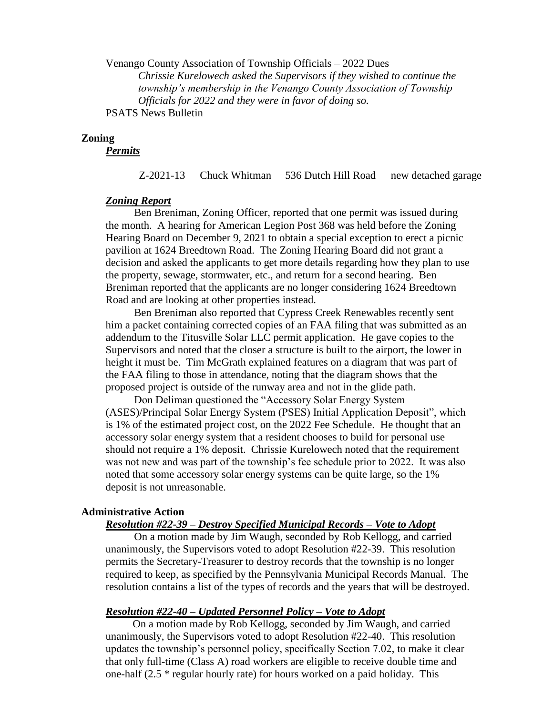Venango County Association of Township Officials – 2022 Dues *Chrissie Kurelowech asked the Supervisors if they wished to continue the township's membership in the Venango County Association of Township Officials for 2022 and they were in favor of doing so.* PSATS News Bulletin

### **Zoning**

*Permits*

Z-2021-13 Chuck Whitman 536 Dutch Hill Road new detached garage

#### *Zoning Report*

Ben Breniman, Zoning Officer, reported that one permit was issued during the month. A hearing for American Legion Post 368 was held before the Zoning Hearing Board on December 9, 2021 to obtain a special exception to erect a picnic pavilion at 1624 Breedtown Road. The Zoning Hearing Board did not grant a decision and asked the applicants to get more details regarding how they plan to use the property, sewage, stormwater, etc., and return for a second hearing. Ben Breniman reported that the applicants are no longer considering 1624 Breedtown Road and are looking at other properties instead.

Ben Breniman also reported that Cypress Creek Renewables recently sent him a packet containing corrected copies of an FAA filing that was submitted as an addendum to the Titusville Solar LLC permit application. He gave copies to the Supervisors and noted that the closer a structure is built to the airport, the lower in height it must be. Tim McGrath explained features on a diagram that was part of the FAA filing to those in attendance, noting that the diagram shows that the proposed project is outside of the runway area and not in the glide path.

Don Deliman questioned the "Accessory Solar Energy System (ASES)/Principal Solar Energy System (PSES) Initial Application Deposit", which is 1% of the estimated project cost, on the 2022 Fee Schedule. He thought that an accessory solar energy system that a resident chooses to build for personal use should not require a 1% deposit. Chrissie Kurelowech noted that the requirement was not new and was part of the township's fee schedule prior to 2022. It was also noted that some accessory solar energy systems can be quite large, so the 1% deposit is not unreasonable.

#### **Administrative Action**

#### *Resolution #22-39 – Destroy Specified Municipal Records – Vote to Adopt*

On a motion made by Jim Waugh, seconded by Rob Kellogg, and carried unanimously, the Supervisors voted to adopt Resolution #22-39. This resolution permits the Secretary-Treasurer to destroy records that the township is no longer required to keep, as specified by the Pennsylvania Municipal Records Manual. The resolution contains a list of the types of records and the years that will be destroyed.

#### *Resolution #22-40 – Updated Personnel Policy – Vote to Adopt*

On a motion made by Rob Kellogg, seconded by Jim Waugh, and carried unanimously, the Supervisors voted to adopt Resolution #22-40. This resolution updates the township's personnel policy, specifically Section 7.02, to make it clear that only full-time (Class A) road workers are eligible to receive double time and one-half (2.5 \* regular hourly rate) for hours worked on a paid holiday. This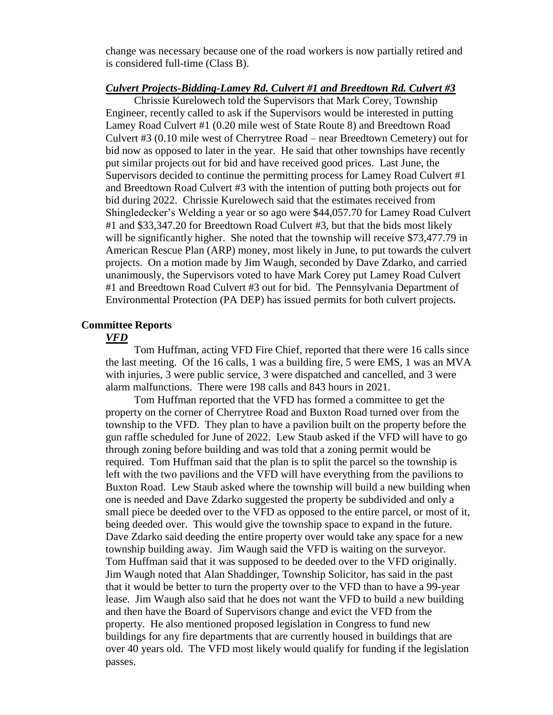change was necessary because one of the road workers is now partially retired and is considered full-time (Class B).

### *Culvert Projects-Bidding-Lamey Rd. Culvert #1 and Breedtown Rd. Culvert #3*

Chrissie Kurelowech told the Supervisors that Mark Corey, Township Engineer, recently called to ask if the Supervisors would be interested in putting Lamey Road Culvert #1 (0.20 mile west of State Route 8) and Breedtown Road Culvert #3 (0.10 mile west of Cherrytree Road – near Breedtown Cemetery) out for bid now as opposed to later in the year. He said that other townships have recently put similar projects out for bid and have received good prices. Last June, the Supervisors decided to continue the permitting process for Lamey Road Culvert #1 and Breedtown Road Culvert #3 with the intention of putting both projects out for bid during 2022. Chrissie Kurelowech said that the estimates received from Shingledecker's Welding a year or so ago were \$44,057.70 for Lamey Road Culvert #1 and \$33,347.20 for Breedtown Road Culvert #3, but that the bids most likely will be significantly higher. She noted that the township will receive \$73,477.79 in American Rescue Plan (ARP) money, most likely in June, to put towards the culvert projects. On a motion made by Jim Waugh, seconded by Dave Zdarko, and carried unanimously, the Supervisors voted to have Mark Corey put Lamey Road Culvert #1 and Breedtown Road Culvert #3 out for bid. The Pennsylvania Department of Environmental Protection (PA DEP) has issued permits for both culvert projects.

### **Committee Reports**

#### *VFD*

Tom Huffman, acting VFD Fire Chief, reported that there were 16 calls since the last meeting. Of the 16 calls, 1 was a building fire, 5 were EMS, 1 was an MVA with injuries, 3 were public service, 3 were dispatched and cancelled, and 3 were alarm malfunctions. There were 198 calls and 843 hours in 2021.

Tom Huffman reported that the VFD has formed a committee to get the property on the corner of Cherrytree Road and Buxton Road turned over from the township to the VFD. They plan to have a pavilion built on the property before the gun raffle scheduled for June of 2022. Lew Staub asked if the VFD will have to go through zoning before building and was told that a zoning permit would be required. Tom Huffman said that the plan is to split the parcel so the township is left with the two pavilions and the VFD will have everything from the pavilions to Buxton Road. Lew Staub asked where the township will build a new building when one is needed and Dave Zdarko suggested the property be subdivided and only a small piece be deeded over to the VFD as opposed to the entire parcel, or most of it, being deeded over. This would give the township space to expand in the future. Dave Zdarko said deeding the entire property over would take any space for a new township building away. Jim Waugh said the VFD is waiting on the surveyor. Tom Huffman said that it was supposed to be deeded over to the VFD originally. Jim Waugh noted that Alan Shaddinger, Township Solicitor, has said in the past that it would be better to turn the property over to the VFD than to have a 99-year lease. Jim Waugh also said that he does not want the VFD to build a new building and then have the Board of Supervisors change and evict the VFD from the property. He also mentioned proposed legislation in Congress to fund new buildings for any fire departments that are currently housed in buildings that are over 40 years old. The VFD most likely would qualify for funding if the legislation passes.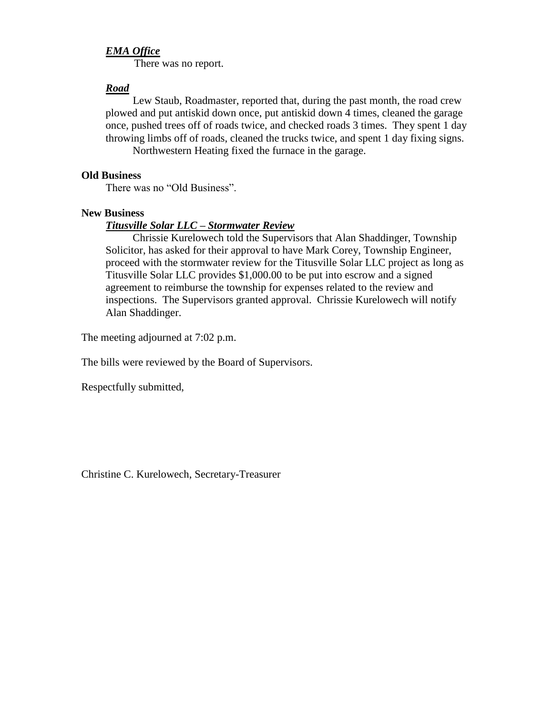### *EMA Office*

There was no report.

### *Road*

Lew Staub, Roadmaster, reported that, during the past month, the road crew plowed and put antiskid down once, put antiskid down 4 times, cleaned the garage once, pushed trees off of roads twice, and checked roads 3 times. They spent 1 day throwing limbs off of roads, cleaned the trucks twice, and spent 1 day fixing signs. Northwestern Heating fixed the furnace in the garage.

### **Old Business**

There was no "Old Business".

#### **New Business**

#### *Titusville Solar LLC – Stormwater Review*

Chrissie Kurelowech told the Supervisors that Alan Shaddinger, Township Solicitor, has asked for their approval to have Mark Corey, Township Engineer, proceed with the stormwater review for the Titusville Solar LLC project as long as Titusville Solar LLC provides \$1,000.00 to be put into escrow and a signed agreement to reimburse the township for expenses related to the review and inspections. The Supervisors granted approval. Chrissie Kurelowech will notify Alan Shaddinger.

The meeting adjourned at 7:02 p.m.

The bills were reviewed by the Board of Supervisors.

Respectfully submitted,

Christine C. Kurelowech, Secretary-Treasurer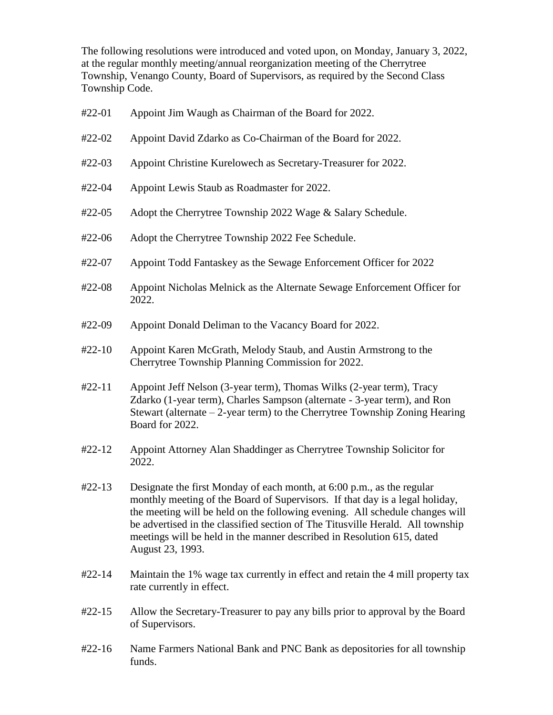The following resolutions were introduced and voted upon, on Monday, January 3, 2022, at the regular monthly meeting/annual reorganization meeting of the Cherrytree Township, Venango County, Board of Supervisors, as required by the Second Class Township Code.

| $#22-01$ | Appoint Jim Waugh as Chairman of the Board for 2022.                                                                                                                                                                                                                                                                                                                                                                   |
|----------|------------------------------------------------------------------------------------------------------------------------------------------------------------------------------------------------------------------------------------------------------------------------------------------------------------------------------------------------------------------------------------------------------------------------|
| #22-02   | Appoint David Zdarko as Co-Chairman of the Board for 2022.                                                                                                                                                                                                                                                                                                                                                             |
| $#22-03$ | Appoint Christine Kurelowech as Secretary-Treasurer for 2022.                                                                                                                                                                                                                                                                                                                                                          |
| #22-04   | Appoint Lewis Staub as Roadmaster for 2022.                                                                                                                                                                                                                                                                                                                                                                            |
| #22-05   | Adopt the Cherrytree Township 2022 Wage & Salary Schedule.                                                                                                                                                                                                                                                                                                                                                             |
| #22-06   | Adopt the Cherrytree Township 2022 Fee Schedule.                                                                                                                                                                                                                                                                                                                                                                       |
| #22-07   | Appoint Todd Fantaskey as the Sewage Enforcement Officer for 2022                                                                                                                                                                                                                                                                                                                                                      |
| #22-08   | Appoint Nicholas Melnick as the Alternate Sewage Enforcement Officer for<br>2022.                                                                                                                                                                                                                                                                                                                                      |
| #22-09   | Appoint Donald Deliman to the Vacancy Board for 2022.                                                                                                                                                                                                                                                                                                                                                                  |
| $#22-10$ | Appoint Karen McGrath, Melody Staub, and Austin Armstrong to the<br>Cherrytree Township Planning Commission for 2022.                                                                                                                                                                                                                                                                                                  |
| $#22-11$ | Appoint Jeff Nelson (3-year term), Thomas Wilks (2-year term), Tracy<br>Zdarko (1-year term), Charles Sampson (alternate - 3-year term), and Ron<br>Stewart (alternate $-2$ -year term) to the Cherrytree Township Zoning Hearing<br>Board for 2022.                                                                                                                                                                   |
| #22-12   | Appoint Attorney Alan Shaddinger as Cherrytree Township Solicitor for<br>2022.                                                                                                                                                                                                                                                                                                                                         |
| $#22-13$ | Designate the first Monday of each month, at 6:00 p.m., as the regular<br>monthly meeting of the Board of Supervisors. If that day is a legal holiday,<br>the meeting will be held on the following evening. All schedule changes will<br>be advertised in the classified section of The Titusville Herald. All township<br>meetings will be held in the manner described in Resolution 615, dated<br>August 23, 1993. |
|          |                                                                                                                                                                                                                                                                                                                                                                                                                        |

- #22-14 Maintain the 1% wage tax currently in effect and retain the 4 mill property tax rate currently in effect.
- #22-15 Allow the Secretary-Treasurer to pay any bills prior to approval by the Board of Supervisors.
- #22-16 Name Farmers National Bank and PNC Bank as depositories for all township funds.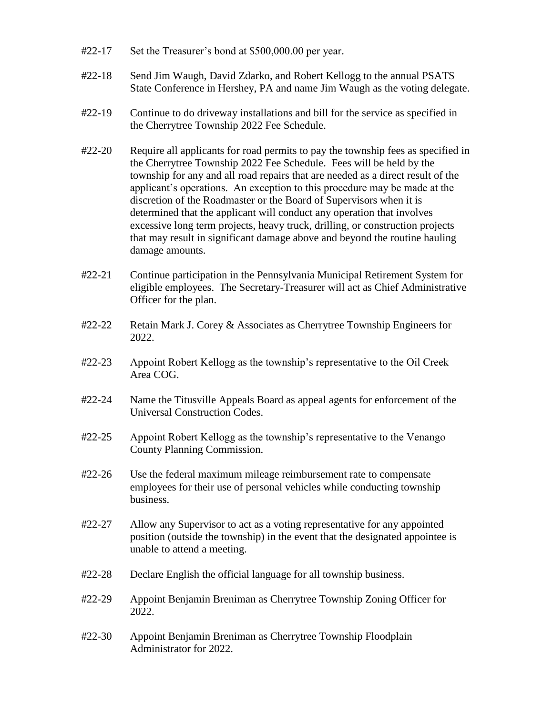- #22-17 Set the Treasurer's bond at \$500,000.00 per year.
- #22-18 Send Jim Waugh, David Zdarko, and Robert Kellogg to the annual PSATS State Conference in Hershey, PA and name Jim Waugh as the voting delegate.
- #22-19 Continue to do driveway installations and bill for the service as specified in the Cherrytree Township 2022 Fee Schedule.
- #22-20 Require all applicants for road permits to pay the township fees as specified in the Cherrytree Township 2022 Fee Schedule. Fees will be held by the township for any and all road repairs that are needed as a direct result of the applicant's operations. An exception to this procedure may be made at the discretion of the Roadmaster or the Board of Supervisors when it is determined that the applicant will conduct any operation that involves excessive long term projects, heavy truck, drilling, or construction projects that may result in significant damage above and beyond the routine hauling damage amounts.
- #22-21 Continue participation in the Pennsylvania Municipal Retirement System for eligible employees. The Secretary-Treasurer will act as Chief Administrative Officer for the plan.
- #22-22 Retain Mark J. Corey & Associates as Cherrytree Township Engineers for 2022.
- #22-23 Appoint Robert Kellogg as the township's representative to the Oil Creek Area COG.
- #22-24 Name the Titusville Appeals Board as appeal agents for enforcement of the Universal Construction Codes.
- #22-25 Appoint Robert Kellogg as the township's representative to the Venango County Planning Commission.
- #22-26 Use the federal maximum mileage reimbursement rate to compensate employees for their use of personal vehicles while conducting township business.
- #22-27 Allow any Supervisor to act as a voting representative for any appointed position (outside the township) in the event that the designated appointee is unable to attend a meeting.
- #22-28 Declare English the official language for all township business.
- #22-29 Appoint Benjamin Breniman as Cherrytree Township Zoning Officer for 2022.
- #22-30 Appoint Benjamin Breniman as Cherrytree Township Floodplain Administrator for 2022.